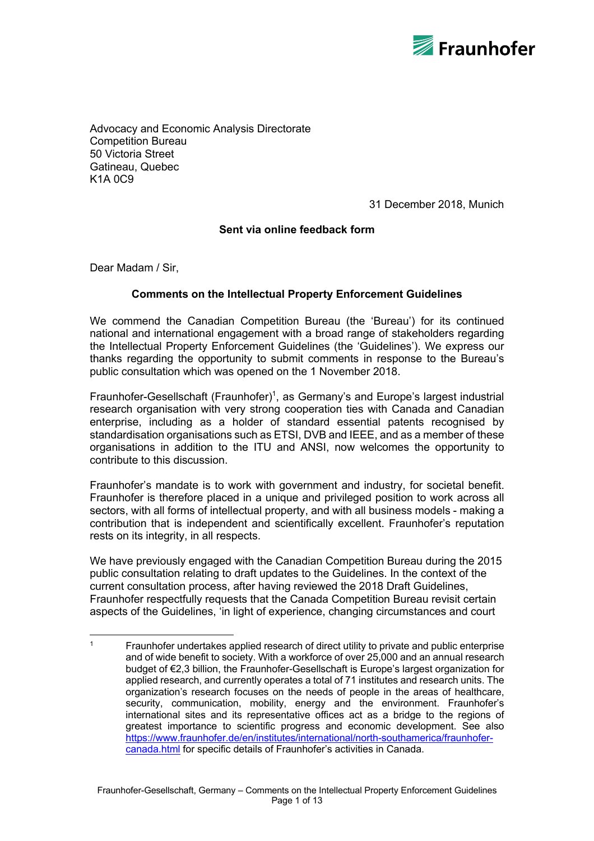

Advocacy and Economic Analysis Directorate Competition Bureau 50 Victoria Street Gatineau, Quebec K1A 0C9

31 December 2018, Munich

## **Sent via online feedback form**

Dear Madam / Sir,

 

## **Comments on the Intellectual Property Enforcement Guidelines**

We commend the Canadian Competition Bureau (the 'Bureau') for its continued national and international engagement with a broad range of stakeholders regarding the Intellectual Property Enforcement Guidelines (the 'Guidelines'). We express our thanks regarding the opportunity to submit comments in response to the Bureau's public consultation which was opened on the 1 November 2018.

Fraunhofer-Gesellschaft (Fraunhofer)<sup>1</sup>, as Germany's and Europe's largest industrial research organisation with very strong cooperation ties with Canada and Canadian enterprise, including as a holder of standard essential patents recognised by standardisation organisations such as ETSI, DVB and IEEE, and as a member of these organisations in addition to the ITU and ANSI, now welcomes the opportunity to contribute to this discussion.

Fraunhofer's mandate is to work with government and industry, for societal benefit. Fraunhofer is therefore placed in a unique and privileged position to work across all sectors, with all forms of intellectual property, and with all business models - making a contribution that is independent and scientifically excellent. Fraunhofer's reputation rests on its integrity, in all respects.

We have previously engaged with the Canadian Competition Bureau during the 2015 public consultation relating to draft updates to the Guidelines. In the context of the current consultation process, after having reviewed the 2018 Draft Guidelines, Fraunhofer respectfully requests that the Canada Competition Bureau revisit certain aspects of the Guidelines, 'in light of experience, changing circumstances and court

 $1 - 1$  Fraunhofer undertakes applied research of direct utility to private and public enterprise and of wide benefit to society. With a workforce of over 25,000 and an annual research budget of €2,3 billion, the Fraunhofer-Gesellschaft is Europe's largest organization for applied research, and currently operates a total of 71 institutes and research units. The organization's research focuses on the needs of people in the areas of healthcare, security, communication, mobility, energy and the environment. Fraunhofer's international sites and its representative offices act as a bridge to the regions of greatest importance to scientific progress and economic development. See also https://www.fraunhofer.de/en/institutes/international/north-southamerica/fraunhofercanada.html for specific details of Fraunhofer's activities in Canada.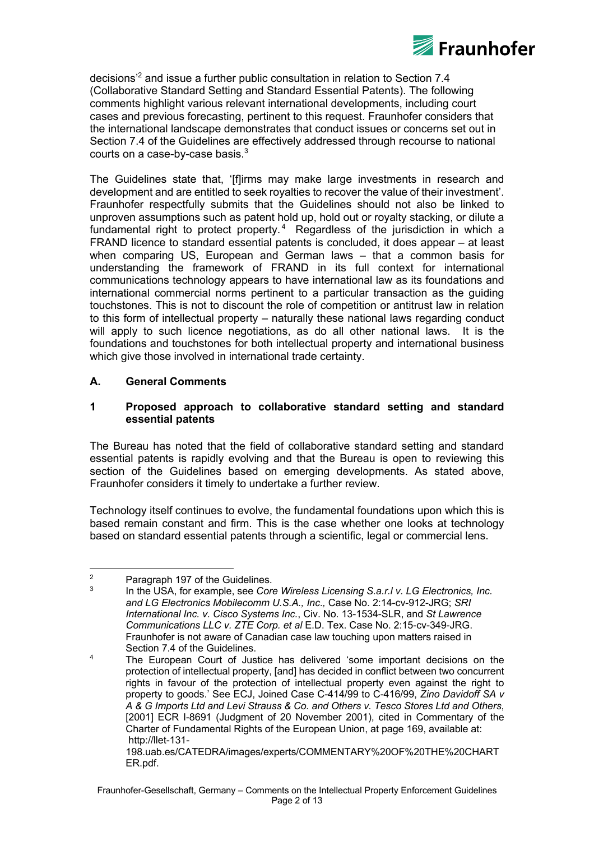

decisions'2 and issue a further public consultation in relation to Section 7.4 (Collaborative Standard Setting and Standard Essential Patents). The following comments highlight various relevant international developments, including court cases and previous forecasting, pertinent to this request. Fraunhofer considers that the international landscape demonstrates that conduct issues or concerns set out in Section 7.4 of the Guidelines are effectively addressed through recourse to national courts on a case-by-case basis. $^3$ 

The Guidelines state that, '[f]irms may make large investments in research and development and are entitled to seek royalties to recover the value of their investment'. Fraunhofer respectfully submits that the Guidelines should not also be linked to unproven assumptions such as patent hold up, hold out or royalty stacking, or dilute a fundamental right to protect property.<sup>4</sup> Regardless of the jurisdiction in which a FRAND licence to standard essential patents is concluded, it does appear – at least when comparing US, European and German laws – that a common basis for understanding the framework of FRAND in its full context for international communications technology appears to have international law as its foundations and international commercial norms pertinent to a particular transaction as the guiding touchstones. This is not to discount the role of competition or antitrust law in relation to this form of intellectual property – naturally these national laws regarding conduct will apply to such licence negotiations, as do all other national laws. It is the foundations and touchstones for both intellectual property and international business which give those involved in international trade certainty.

# **A. General Comments**

## **1 Proposed approach to collaborative standard setting and standard essential patents**

The Bureau has noted that the field of collaborative standard setting and standard essential patents is rapidly evolving and that the Bureau is open to reviewing this section of the Guidelines based on emerging developments. As stated above, Fraunhofer considers it timely to undertake a further review.

Technology itself continues to evolve, the fundamental foundations upon which this is based remain constant and firm. This is the case whether one looks at technology based on standard essential patents through a scientific, legal or commercial lens.

 

<sup>&</sup>lt;sup>2</sup> Paragraph 197 of the Guidelines.<br> $\frac{3}{2}$  ln the USA for example, see Con-

<sup>3</sup> In the USA, for example, see *Core Wireless Licensing S.a.r.l v. LG Electronics, Inc. and LG Electronics Mobilecomm U.S.A., Inc*.*,* Case No. 2:14-cv-912-JRG; *SRI International Inc. v. Cisco Systems Inc.*, Civ. No. 13-1534-SLR, and *St Lawrence Communications LLC v. ZTE Corp. et al* E.D. Tex. Case No. 2:15-cv-349-JRG. Fraunhofer is not aware of Canadian case law touching upon matters raised in Section 7.4 of the Guidelines.

<sup>&</sup>lt;sup>4</sup> The European Court of Justice has delivered 'some important decisions on the protection of intellectual property, [and] has decided in conflict between two concurrent rights in favour of the protection of intellectual property even against the right to property to goods.' See ECJ, Joined Case C-414/99 to C-416/99, *Zino Davidoff SA v A & G Imports Ltd and Levi Strauss & Co. and Others v. Tesco Stores Ltd and Others*, [2001] ECR I-8691 (Judgment of 20 November 2001), cited in Commentary of the Charter of Fundamental Rights of the European Union, at page 169, available at: http://llet-131-

<sup>198.</sup>uab.es/CATEDRA/images/experts/COMMENTARY%20OF%20THE%20CHART ER.pdf.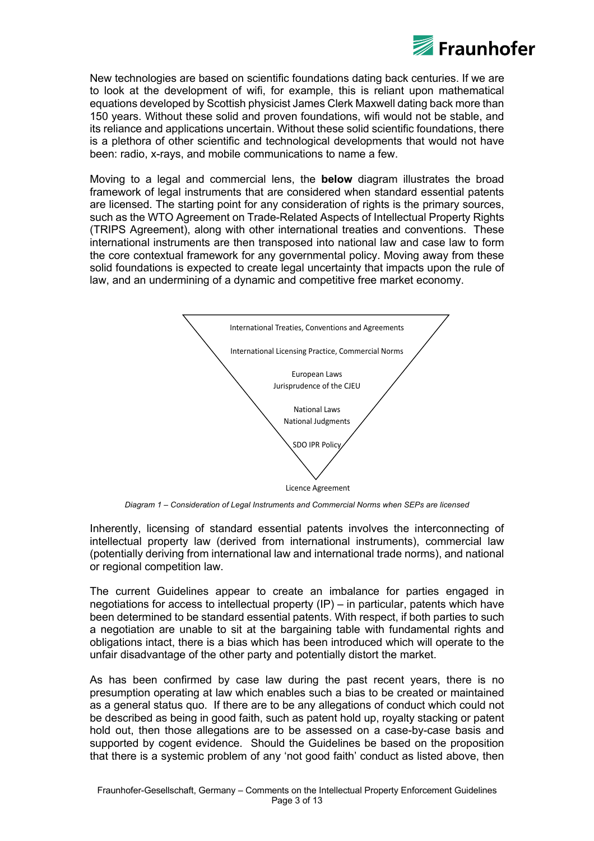

New technologies are based on scientific foundations dating back centuries. If we are to look at the development of wifi, for example, this is reliant upon mathematical equations developed by Scottish physicist James Clerk Maxwell dating back more than 150 years. Without these solid and proven foundations, wifi would not be stable, and its reliance and applications uncertain. Without these solid scientific foundations, there is a plethora of other scientific and technological developments that would not have been: radio, x-rays, and mobile communications to name a few.

Moving to a legal and commercial lens, the **below** diagram illustrates the broad framework of legal instruments that are considered when standard essential patents are licensed. The starting point for any consideration of rights is the primary sources, such as the WTO Agreement on Trade-Related Aspects of Intellectual Property Rights (TRIPS Agreement), along with other international treaties and conventions. These international instruments are then transposed into national law and case law to form the core contextual framework for any governmental policy. Moving away from these solid foundations is expected to create legal uncertainty that impacts upon the rule of law, and an undermining of a dynamic and competitive free market economy.



*Diagram 1 – Consideration of Legal Instruments and Commercial Norms when SEPs are licensed*

Inherently, licensing of standard essential patents involves the interconnecting of intellectual property law (derived from international instruments), commercial law (potentially deriving from international law and international trade norms), and national or regional competition law.

The current Guidelines appear to create an imbalance for parties engaged in negotiations for access to intellectual property (IP) – in particular, patents which have been determined to be standard essential patents. With respect, if both parties to such a negotiation are unable to sit at the bargaining table with fundamental rights and obligations intact, there is a bias which has been introduced which will operate to the unfair disadvantage of the other party and potentially distort the market.

As has been confirmed by case law during the past recent years, there is no presumption operating at law which enables such a bias to be created or maintained as a general status quo. If there are to be any allegations of conduct which could not be described as being in good faith, such as patent hold up, royalty stacking or patent hold out, then those allegations are to be assessed on a case-by-case basis and supported by cogent evidence. Should the Guidelines be based on the proposition that there is a systemic problem of any 'not good faith' conduct as listed above, then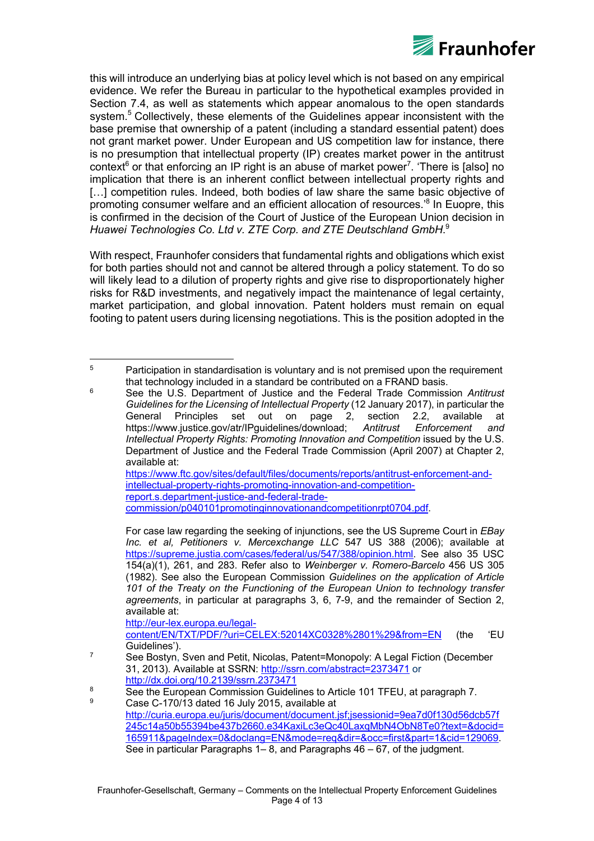

this will introduce an underlying bias at policy level which is not based on any empirical evidence. We refer the Bureau in particular to the hypothetical examples provided in Section 7.4, as well as statements which appear anomalous to the open standards system.<sup>5</sup> Collectively, these elements of the Guidelines appear inconsistent with the base premise that ownership of a patent (including a standard essential patent) does not grant market power. Under European and US competition law for instance, there is no presumption that intellectual property (IP) creates market power in the antitrust context<sup>6</sup> or that enforcing an IP right is an abuse of market power<sup>7</sup>. 'There is [also] no implication that there is an inherent conflict between intellectual property rights and [...] competition rules. Indeed, both bodies of law share the same basic objective of promoting consumer welfare and an efficient allocation of resources.'8 In Euopre, this is confirmed in the decision of the Court of Justice of the European Union decision in *Huawei Technologies Co. Ltd v. ZTE Corp. and ZTE Deutschland GmbH*. 9

With respect, Fraunhofer considers that fundamental rights and obligations which exist for both parties should not and cannot be altered through a policy statement. To do so will likely lead to a dilution of property rights and give rise to disproportionately higher risks for R&D investments, and negatively impact the maintenance of legal certainty, market participation, and global innovation. Patent holders must remain on equal footing to patent users during licensing negotiations. This is the position adopted in the

https://www.ftc.gov/sites/default/files/documents/reports/antitrust-enforcement-andintellectual-property-rights-promoting-innovation-and-competitionreport.s.department-justice-and-federal-tradecommission/p040101promotinginnovationandcompetitionrpt0704.pdf.

http://eur-lex.europa.eu/legalcontent/EN/TXT/PDF/?uri=CELEX:52014XC0328%2801%29&from=EN (the 'EU Guidelines').

 <sup>5</sup> Participation in standardisation is voluntary and is not premised upon the requirement that technology included in a standard be contributed on a FRAND basis.

<sup>6</sup> See the U.S. Department of Justice and the Federal Trade Commission *Antitrust Guidelines for the Licensing of Intellectual Property* (12 January 2017), in particular the General Principles set out on page 2, section 2.2, available at General Principles set out on page 2, section 2.2, available at https://www.justice.gov/atr/IPguidelines/download; *Antitrust Enforcement and Intellectual Property Rights: Promoting Innovation and Competition* issued by the U.S. Department of Justice and the Federal Trade Commission (April 2007) at Chapter 2, available at:

For case law regarding the seeking of injunctions, see the US Supreme Court in *EBay Inc. et al, Petitioners v. Mercexchange LLC* 547 US 388 (2006); available at https://supreme.justia.com/cases/federal/us/547/388/opinion.html. See also 35 USC 154(a)(1), 261, and 283. Refer also to *Weinberger v. Romero-Barcelo* 456 US 305 (1982). See also the European Commission *Guidelines on the application of Article 101 of the Treaty on the Functioning of the European Union to technology transfer agreements*, in particular at paragraphs 3, 6, 7-9, and the remainder of Section 2, available at:

 $7$  See Bostyn, Sven and Petit, Nicolas, Patent=Monopoly: A Legal Fiction (December 31, 2013). Available at SSRN: http://ssrn.com/abstract=2373471 or http://dx.doi.org/10.2139/ssrn.2373471

<sup>&</sup>lt;sup>8</sup> See the European Commission Guidelines to Article 101 TFEU, at paragraph 7.

Case C-170/13 dated 16 July 2015, available at http://curia.europa.eu/juris/document/document.jsf;jsessionid=9ea7d0f130d56dcb57f 245c14a50b55394be437b2660.e34KaxiLc3eQc40LaxqMbN4ObN8Te0?text=&docid= 165911&pageIndex=0&doclang=EN&mode=req&dir=&occ=first&part=1&cid=129069. See in particular Paragraphs 1– 8, and Paragraphs 46 – 67, of the judgment.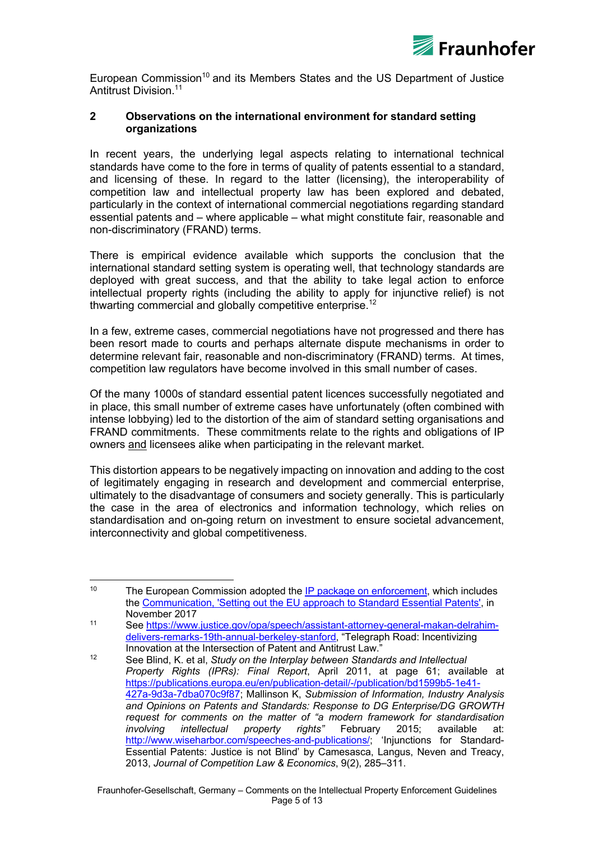

European Commission<sup>10</sup> and its Members States and the US Department of Justice Antitrust Division.11

#### **2 Observations on the international environment for standard setting organizations**

In recent years, the underlying legal aspects relating to international technical standards have come to the fore in terms of quality of patents essential to a standard, and licensing of these. In regard to the latter (licensing), the interoperability of competition law and intellectual property law has been explored and debated, particularly in the context of international commercial negotiations regarding standard essential patents and – where applicable – what might constitute fair, reasonable and non-discriminatory (FRAND) terms.

There is empirical evidence available which supports the conclusion that the international standard setting system is operating well, that technology standards are deployed with great success, and that the ability to take legal action to enforce intellectual property rights (including the ability to apply for injunctive relief) is not thwarting commercial and globally competitive enterprise.<sup>12</sup>

In a few, extreme cases, commercial negotiations have not progressed and there has been resort made to courts and perhaps alternate dispute mechanisms in order to determine relevant fair, reasonable and non-discriminatory (FRAND) terms. At times, competition law regulators have become involved in this small number of cases.

Of the many 1000s of standard essential patent licences successfully negotiated and in place, this small number of extreme cases have unfortunately (often combined with intense lobbying) led to the distortion of the aim of standard setting organisations and FRAND commitments. These commitments relate to the rights and obligations of IP owners and licensees alike when participating in the relevant market.

This distortion appears to be negatively impacting on innovation and adding to the cost of legitimately engaging in research and development and commercial enterprise, ultimately to the disadvantage of consumers and society generally. This is particularly the case in the area of electronics and information technology, which relies on standardisation and on-going return on investment to ensure societal advancement, interconnectivity and global competitiveness.

 <sup>10</sup> The European Commission adopted the IP package on enforcement, which includes the Communication, 'Setting out the EU approach to Standard Essential Patents', in November 2017

<sup>11</sup> See https://www.justice.gov/opa/speech/assistant-attorney-general-makan-delrahimdelivers-remarks-19th-annual-berkeley-stanford, "Telegraph Road: Incentivizing Innovation at the Intersection of Patent and Antitrust Law."

<sup>12</sup> See Blind, K. et al, *Study on the Interplay between Standards and Intellectual Property Rights (IPRs): Final Report*, April 2011, at page 61; available at https://publications.europa.eu/en/publication-detail/-/publication/bd1599b5-1e41- 427a-9d3a-7dba070c9f87; Mallinson K, *Submission of Information, Industry Analysis and Opinions on Patents and Standards: Response to DG Enterprise/DG GROWTH request for comments on the matter of "a modern framework for standardisation involving intellectual property rights"* February 2015; available at: http://www.wiseharbor.com/speeches-and-publications/; 'Injunctions for Standard-Essential Patents: Justice is not Blind' by Camesasca, Langus, Neven and Treacy, 2013, *Journal of Competition Law & Economics*, 9(2), 285–311.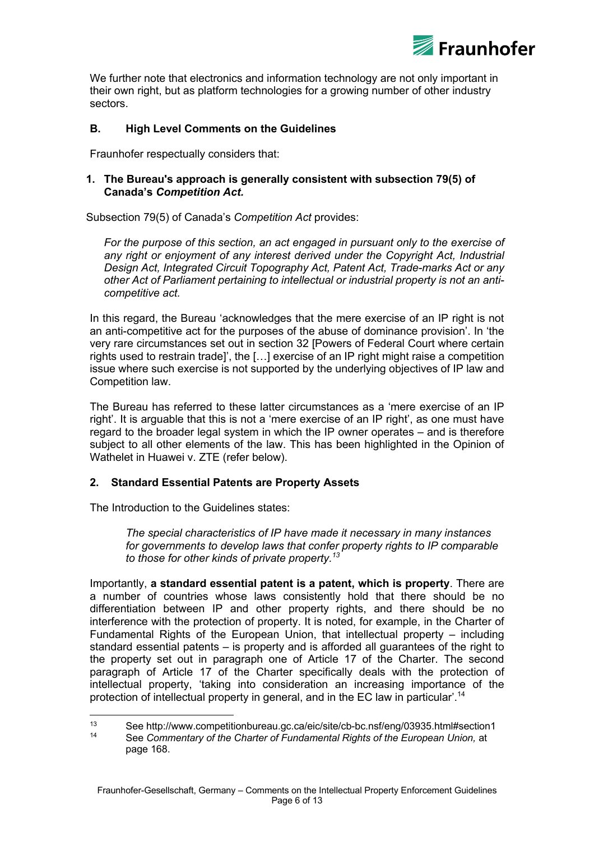

We further note that electronics and information technology are not only important in their own right, but as platform technologies for a growing number of other industry sectors.

## **B. High Level Comments on the Guidelines**

Fraunhofer respectually considers that:

#### **1. The Bureau's approach is generally consistent with subsection 79(5) of Canada's** *Competition Act.*

Subsection 79(5) of Canada's *Competition Act* provides:

For the purpose of this section, an act engaged in pursuant only to the exercise of any right or enjoyment of any interest derived under the Copyright Act, Industrial *Design Act, Integrated Circuit Topography Act, Patent Act, Trade-marks Act or any other Act of Parliament pertaining to intellectual or industrial property is not an anticompetitive act.*

In this regard, the Bureau 'acknowledges that the mere exercise of an IP right is not an anti-competitive act for the purposes of the abuse of dominance provision'. In 'the very rare circumstances set out in section 32 [Powers of Federal Court where certain rights used to restrain trade]', the […] exercise of an IP right might raise a competition issue where such exercise is not supported by the underlying objectives of IP law and Competition law.

The Bureau has referred to these latter circumstances as a 'mere exercise of an IP right'. It is arguable that this is not a 'mere exercise of an IP right', as one must have regard to the broader legal system in which the IP owner operates – and is therefore subject to all other elements of the law. This has been highlighted in the Opinion of Wathelet in Huawei v. ZTE (refer below).

## **2. Standard Essential Patents are Property Assets**

The Introduction to the Guidelines states:

 

*The special characteristics of IP have made it necessary in many instances for governments to develop laws that confer property rights to IP comparable to those for other kinds of private property.<sup>13</sup>*

Importantly, **a standard essential patent is a patent, which is property**. There are a number of countries whose laws consistently hold that there should be no differentiation between IP and other property rights, and there should be no interference with the protection of property. It is noted, for example, in the Charter of Fundamental Rights of the European Union, that intellectual property – including standard essential patents – is property and is afforded all guarantees of the right to the property set out in paragraph one of Article 17 of the Charter. The second paragraph of Article 17 of the Charter specifically deals with the protection of intellectual property, 'taking into consideration an increasing importance of the protection of intellectual property in general, and in the EC law in particular'.<sup>14</sup>

<sup>13</sup> See http://www.competitionbureau.gc.ca/eic/site/cb-bc.nsf/eng/03935.html#section1 <sup>14</sup> See *Commentary of the Charter of Fundamental Rights of the European Union,* at page 168.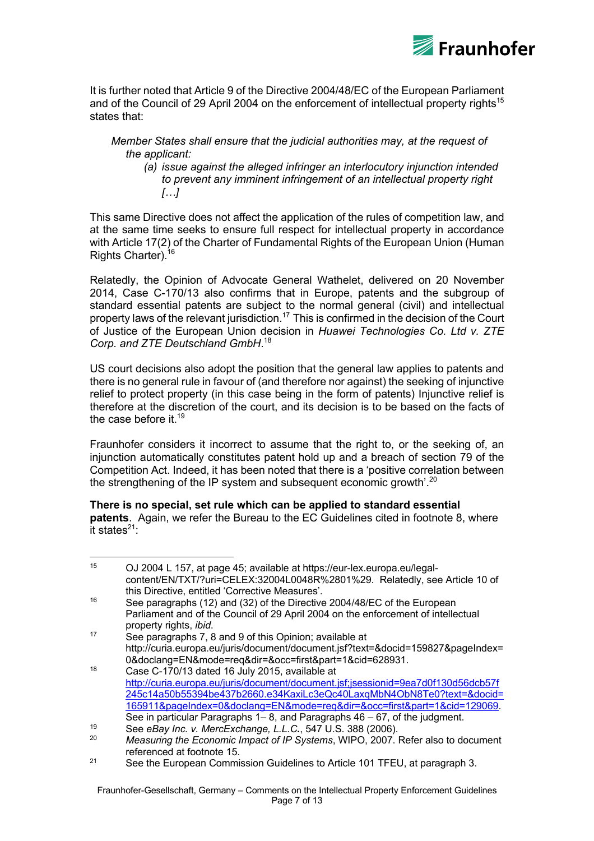

It is further noted that Article 9 of the Directive 2004/48/EC of the European Parliament and of the Council of 29 April 2004 on the enforcement of intellectual property rights<sup>15</sup> states that:

#### *Member States shall ensure that the judicial authorities may, at the request of the applicant:*

*(a) issue against the alleged infringer an interlocutory injunction intended to prevent any imminent infringement of an intellectual property right […]*

This same Directive does not affect the application of the rules of competition law, and at the same time seeks to ensure full respect for intellectual property in accordance with Article 17(2) of the Charter of Fundamental Rights of the European Union (Human Rights Charter).16

Relatedly, the Opinion of Advocate General Wathelet, delivered on 20 November 2014, Case C-170/13 also confirms that in Europe, patents and the subgroup of standard essential patents are subject to the normal general (civil) and intellectual property laws of the relevant jurisdiction.<sup>17</sup> This is confirmed in the decision of the Court of Justice of the European Union decision in *Huawei Technologies Co. Ltd v. ZTE Corp. and ZTE Deutschland GmbH*. 18

US court decisions also adopt the position that the general law applies to patents and there is no general rule in favour of (and therefore nor against) the seeking of injunctive relief to protect property (in this case being in the form of patents) Injunctive relief is therefore at the discretion of the court, and its decision is to be based on the facts of the case before it  $19$ 

Fraunhofer considers it incorrect to assume that the right to, or the seeking of, an injunction automatically constitutes patent hold up and a breach of section 79 of the Competition Act. Indeed, it has been noted that there is a 'positive correlation between the strengthening of the IP system and subsequent economic growth'.<sup>20</sup>

**There is no special, set rule which can be applied to standard essential patents**. Again, we refer the Bureau to the EC Guidelines cited in footnote 8, where it states $^{21}$ :

 <sup>15</sup> OJ 2004 L 157, at page 45; available at https://eur-lex.europa.eu/legalcontent/EN/TXT/?uri=CELEX:32004L0048R%2801%29. Relatedly, see Article 10 of this Directive, entitled 'Corrective Measures'. <sup>16</sup> See paragraphs (12) and (32) of the Directive 2004/48/EC of the European Parliament and of the Council of 29 April 2004 on the enforcement of intellectual property rights, *ibid*. <sup>17</sup> See paragraphs 7, 8 and 9 of this Opinion; available at http://curia.europa.eu/juris/document/document.jsf?text=&docid=159827&pageIndex= 0&doclang=EN&mode=req&dir=&occ=first&part=1&cid=628931.  $18$  Case C-170/13 dated 16 July 2015, available at http://curia.europa.eu/juris/document/document.jsf;jsessionid=9ea7d0f130d56dcb57f 245c14a50b55394be437b2660.e34KaxiLc3eQc40LaxqMbN4ObN8Te0?text=&docid= 165911&pageIndex=0&doclang=EN&mode=req&dir=&occ=first&part=1&cid=129069.

See in particular Paragraphs 1– 8, and Paragraphs 46 – 67, of the judgment.

<sup>19</sup> See *eBay Inc. v. MercExchange, L.L.C.*, 547 U.S. 388 (2006).

<sup>20</sup> *Measuring the Economic Impact of IP Systems*, WIPO, 2007. Refer also to document referenced at footnote 15.

<sup>&</sup>lt;sup>21</sup> See the European Commission Guidelines to Article 101 TFEU, at paragraph 3.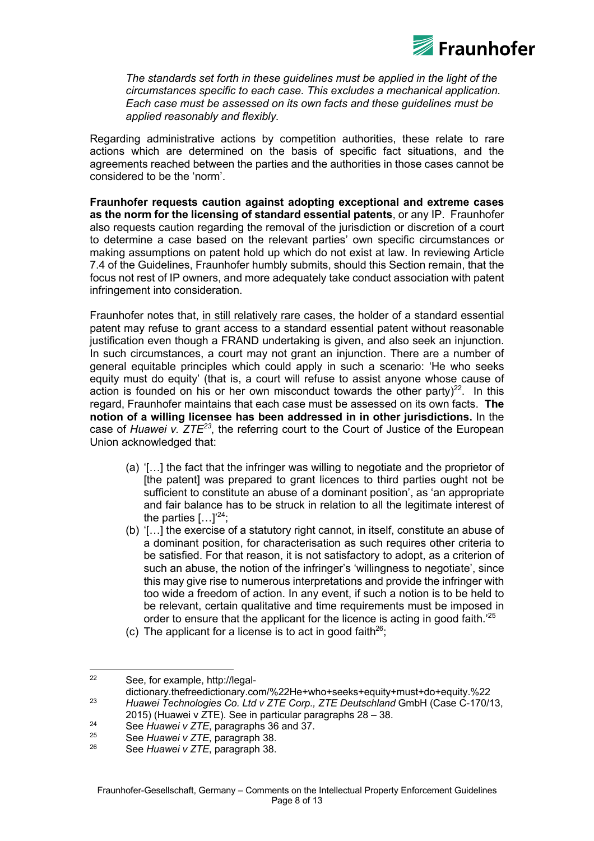

*The standards set forth in these guidelines must be applied in the light of the circumstances specific to each case. This excludes a mechanical application. Each case must be assessed on its own facts and these guidelines must be applied reasonably and flexibly.*

Regarding administrative actions by competition authorities, these relate to rare actions which are determined on the basis of specific fact situations, and the agreements reached between the parties and the authorities in those cases cannot be considered to be the 'norm'.

**Fraunhofer requests caution against adopting exceptional and extreme cases as the norm for the licensing of standard essential patents**, or any IP. Fraunhofer also requests caution regarding the removal of the jurisdiction or discretion of a court to determine a case based on the relevant parties' own specific circumstances or making assumptions on patent hold up which do not exist at law. In reviewing Article 7.4 of the Guidelines, Fraunhofer humbly submits, should this Section remain, that the focus not rest of IP owners, and more adequately take conduct association with patent infringement into consideration.

Fraunhofer notes that, in still relatively rare cases, the holder of a standard essential patent may refuse to grant access to a standard essential patent without reasonable justification even though a FRAND undertaking is given, and also seek an injunction. In such circumstances, a court may not grant an injunction. There are a number of general equitable principles which could apply in such a scenario: 'He who seeks equity must do equity' (that is, a court will refuse to assist anyone whose cause of action is founded on his or her own misconduct towards the other party)<sup>22</sup>. In this regard, Fraunhofer maintains that each case must be assessed on its own facts. **The notion of a willing licensee has been addressed in in other jurisdictions.** In the case of *Huawei v. ZTE<sup>23</sup>*, the referring court to the Court of Justice of the European Union acknowledged that:

- (a) '[…] the fact that the infringer was willing to negotiate and the proprietor of [the patent] was prepared to grant licences to third parties ought not be sufficient to constitute an abuse of a dominant position', as 'an appropriate and fair balance has to be struck in relation to all the legitimate interest of the parties  $[...]^{24}$ ;
- (b) '[…] the exercise of a statutory right cannot, in itself, constitute an abuse of a dominant position, for characterisation as such requires other criteria to be satisfied. For that reason, it is not satisfactory to adopt, as a criterion of such an abuse, the notion of the infringer's 'willingness to negotiate', since this may give rise to numerous interpretations and provide the infringer with too wide a freedom of action. In any event, if such a notion is to be held to be relevant, certain qualitative and time requirements must be imposed in order to ensure that the applicant for the licence is acting in good faith.<sup>'25</sup>
- (c) The applicant for a license is to act in good faith<sup>26</sup>;

 

<sup>22</sup> See, for example, http://legal-

dictionary.thefreedictionary.com/%22He+who+seeks+equity+must+do+equity.%22 <sup>23</sup> *Huawei Technologies Co. Ltd v ZTE Corp., ZTE Deutschland* GmbH (Case C-170/13, 2015) (Huawei v ZTE). See in particular paragraphs 28 – 38.

<sup>&</sup>lt;sup>24</sup> See *Huawei v ZTE*, paragraphs 36 and 37.

<sup>25</sup> See *Huawei v ZTE*, paragraph 38.

<sup>26</sup> See *Huawei v ZTE*, paragraph 38.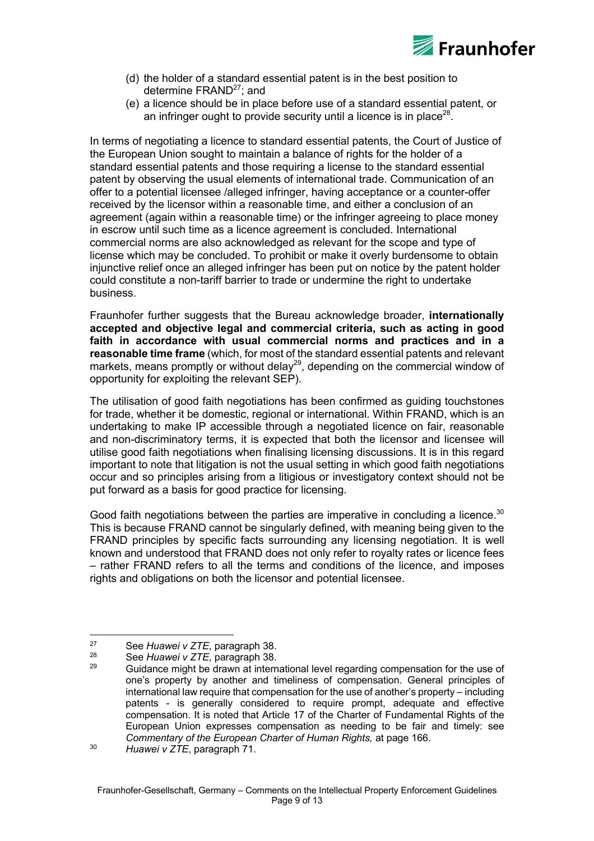

- (d) the holder of a standard essential patent is in the best position to determine  $FRAND<sup>27</sup>$ ; and
- (e) a licence should be in place before use of a standard essential patent, or an infringer ought to provide security until a licence is in place<sup>28</sup>.

In terms of negotiating a licence to standard essential patents, the Court of Justice of the European Union sought to maintain a balance of rights for the holder of a standard essential patents and those requiring a license to the standard essential patent by observing the usual elements of international trade. Communication of an offer to a potential licensee /alleged infringer, having acceptance or a counter-offer received by the licensor within a reasonable time, and either a conclusion of an agreement (again within a reasonable time) or the infringer agreeing to place money in escrow until such time as a licence agreement is concluded. International commercial norms are also acknowledged as relevant for the scope and type of license which may be concluded. To prohibit or make it overly burdensome to obtain injunctive relief once an alleged infringer has been put on notice by the patent holder could constitute a non-tariff barrier to trade or undermine the right to undertake business.

Fraunhofer further suggests that the Bureau acknowledge broader, **internationally accepted and objective legal and commercial criteria, such as acting in good faith in accordance with usual commercial norms and practices and in a reasonable time frame** (which, for most of the standard essential patents and relevant markets, means promptly or without delay<sup>29</sup>, depending on the commercial window of opportunity for exploiting the relevant SEP).

The utilisation of good faith negotiations has been confirmed as guiding touchstones for trade, whether it be domestic, regional or international. Within FRAND, which is an undertaking to make IP accessible through a negotiated licence on fair, reasonable and non-discriminatory terms, it is expected that both the licensor and licensee will utilise good faith negotiations when finalising licensing discussions. It is in this regard important to note that litigation is not the usual setting in which good faith negotiations occur and so principles arising from a litigious or investigatory context should not be put forward as a basis for good practice for licensing.

Good faith negotiations between the parties are imperative in concluding a licence. $30$ This is because FRAND cannot be singularly defined, with meaning being given to the FRAND principles by specific facts surrounding any licensing negotiation. It is well known and understood that FRAND does not only refer to royalty rates or licence fees – rather FRAND refers to all the terms and conditions of the licence, and imposes rights and obligations on both the licensor and potential licensee.

 

<sup>27</sup> See *Huawei v ZTE*, paragraph 38.

<sup>28</sup> See *Huawei v ZTE*, paragraph 38.

<sup>29</sup> Guidance might be drawn at international level regarding compensation for the use of one's property by another and timeliness of compensation. General principles of international law require that compensation for the use of another's property – including patents - is generally considered to require prompt, adequate and effective compensation. It is noted that Article 17 of the Charter of Fundamental Rights of the European Union expresses compensation as needing to be fair and timely: see *Commentary of the European Charter of Human Rights,* at page 166.

<sup>30</sup> *Huawei v ZTE*, paragraph 71.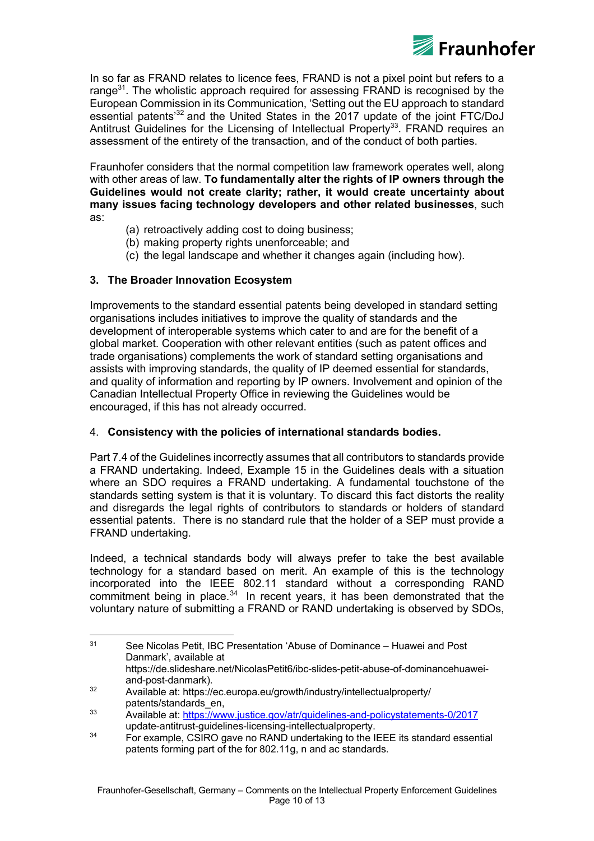

In so far as FRAND relates to licence fees, FRAND is not a pixel point but refers to a range $31$ . The wholistic approach required for assessing FRAND is recognised by the European Commission in its Communication, 'Setting out the EU approach to standard essential patents'<sup>32</sup> and the United States in the 2017 update of the joint FTC/DoJ Antitrust Guidelines for the Licensing of Intellectual Property<sup>33</sup>. FRAND requires an assessment of the entirety of the transaction, and of the conduct of both parties.

Fraunhofer considers that the normal competition law framework operates well, along with other areas of law. **To fundamentally alter the rights of IP owners through the Guidelines would not create clarity; rather, it would create uncertainty about many issues facing technology developers and other related businesses**, such as:

- (a) retroactively adding cost to doing business;
- (b) making property rights unenforceable; and
- (c) the legal landscape and whether it changes again (including how).

# **3. The Broader Innovation Ecosystem**

 

Improvements to the standard essential patents being developed in standard setting organisations includes initiatives to improve the quality of standards and the development of interoperable systems which cater to and are for the benefit of a global market. Cooperation with other relevant entities (such as patent offices and trade organisations) complements the work of standard setting organisations and assists with improving standards, the quality of IP deemed essential for standards, and quality of information and reporting by IP owners. Involvement and opinion of the Canadian Intellectual Property Office in reviewing the Guidelines would be encouraged, if this has not already occurred.

## 4. **Consistency with the policies of international standards bodies.**

Part 7.4 of the Guidelines incorrectly assumes that all contributors to standards provide a FRAND undertaking. Indeed, Example 15 in the Guidelines deals with a situation where an SDO requires a FRAND undertaking. A fundamental touchstone of the standards setting system is that it is voluntary. To discard this fact distorts the reality and disregards the legal rights of contributors to standards or holders of standard essential patents. There is no standard rule that the holder of a SEP must provide a FRAND undertaking.

Indeed, a technical standards body will always prefer to take the best available technology for a standard based on merit. An example of this is the technology incorporated into the IEEE 802.11 standard without a corresponding RAND commitment being in place.<sup>34</sup> In recent years, it has been demonstrated that the voluntary nature of submitting a FRAND or RAND undertaking is observed by SDOs,

<sup>&</sup>lt;sup>31</sup> See Nicolas Petit, IBC Presentation 'Abuse of Dominance – Huawei and Post Danmark', available at https://de.slideshare.net/NicolasPetit6/ibc-slides-petit-abuse-of-dominancehuawei-

and-post-danmark). <sup>32</sup> Available at: https://ec.europa.eu/growth/industry/intellectualproperty/ patents/standards\_en,

<sup>&</sup>lt;sup>33</sup> Available at: https://www.justice.gov/atr/guidelines-and-policystatements-0/2017 update-antitrust-guidelines-licensing-intellectualproperty.

 $34$  For example, CSIRO gave no RAND undertaking to the IEEE its standard essential patents forming part of the for 802.11g, n and ac standards.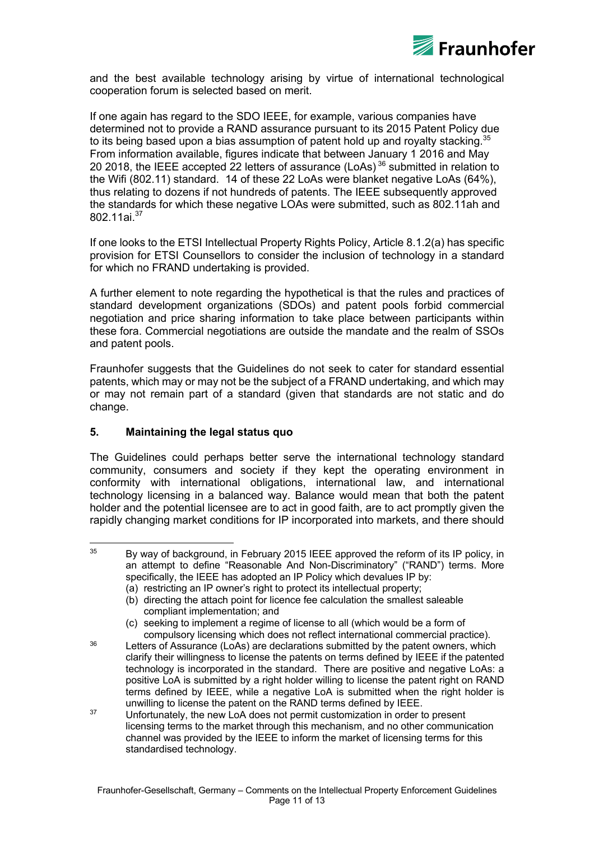

and the best available technology arising by virtue of international technological cooperation forum is selected based on merit.

If one again has regard to the SDO IEEE, for example, various companies have determined not to provide a RAND assurance pursuant to its 2015 Patent Policy due to its being based upon a bias assumption of patent hold up and royalty stacking. $35$ From information available, figures indicate that between January 1 2016 and May 20 2018, the IEEE accepted 22 letters of assurance (LoAs)<sup>36</sup> submitted in relation to the Wifi (802.11) standard. 14 of these 22 LoAs were blanket negative LoAs (64%), thus relating to dozens if not hundreds of patents. The IEEE subsequently approved the standards for which these negative LOAs were submitted, such as 802.11ah and 802 11ai<sup>37</sup>

If one looks to the ETSI Intellectual Property Rights Policy, Article 8.1.2(a) has specific provision for ETSI Counsellors to consider the inclusion of technology in a standard for which no FRAND undertaking is provided.

A further element to note regarding the hypothetical is that the rules and practices of standard development organizations (SDOs) and patent pools forbid commercial negotiation and price sharing information to take place between participants within these fora. Commercial negotiations are outside the mandate and the realm of SSOs and patent pools.

Fraunhofer suggests that the Guidelines do not seek to cater for standard essential patents, which may or may not be the subject of a FRAND undertaking, and which may or may not remain part of a standard (given that standards are not static and do change.

## **5. Maintaining the legal status quo**

 

The Guidelines could perhaps better serve the international technology standard community, consumers and society if they kept the operating environment in conformity with international obligations, international law, and international technology licensing in a balanced way. Balance would mean that both the patent holder and the potential licensee are to act in good faith, are to act promptly given the rapidly changing market conditions for IP incorporated into markets, and there should

- $36$  Letters of Assurance (LoAs) are declarations submitted by the patent owners, which clarify their willingness to license the patents on terms defined by IEEE if the patented technology is incorporated in the standard. There are positive and negative LoAs: a positive LoA is submitted by a right holder willing to license the patent right on RAND terms defined by IEEE, while a negative LoA is submitted when the right holder is unwilling to license the patent on the RAND terms defined by IEEE.
- 37 Unfortunately, the new LoA does not permit customization in order to present licensing terms to the market through this mechanism, and no other communication channel was provided by the IEEE to inform the market of licensing terms for this standardised technology.

 $35$  By way of background, in February 2015 IEEE approved the reform of its IP policy, in an attempt to define "Reasonable And Non-Discriminatory" ("RAND") terms. More specifically, the IEEE has adopted an IP Policy which devalues IP by:

<sup>(</sup>a) restricting an IP owner's right to protect its intellectual property;

<sup>(</sup>b) directing the attach point for licence fee calculation the smallest saleable compliant implementation; and

<sup>(</sup>c) seeking to implement a regime of license to all (which would be a form of compulsory licensing which does not reflect international commercial practice).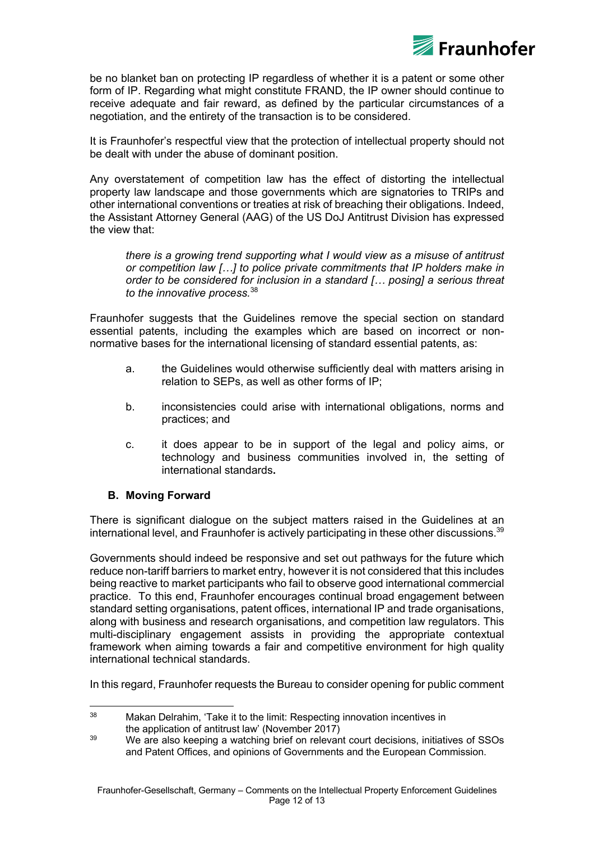

be no blanket ban on protecting IP regardless of whether it is a patent or some other form of IP. Regarding what might constitute FRAND, the IP owner should continue to receive adequate and fair reward, as defined by the particular circumstances of a negotiation, and the entirety of the transaction is to be considered.

It is Fraunhofer's respectful view that the protection of intellectual property should not be dealt with under the abuse of dominant position.

Any overstatement of competition law has the effect of distorting the intellectual property law landscape and those governments which are signatories to TRIPs and other international conventions or treaties at risk of breaching their obligations. Indeed, the Assistant Attorney General (AAG) of the US DoJ Antitrust Division has expressed the view that:

*there is a growing trend supporting what I would view as a misuse of antitrust or competition law […] to police private commitments that IP holders make in order to be considered for inclusion in a standard [… posing] a serious threat to the innovative process.* 38

Fraunhofer suggests that the Guidelines remove the special section on standard essential patents, including the examples which are based on incorrect or nonnormative bases for the international licensing of standard essential patents, as:

- a. the Guidelines would otherwise sufficiently deal with matters arising in relation to SEPs, as well as other forms of IP;
- b. inconsistencies could arise with international obligations, norms and practices; and
- c. it does appear to be in support of the legal and policy aims, or technology and business communities involved in, the setting of international standards**.**

## **B. Moving Forward**

There is significant dialogue on the subject matters raised in the Guidelines at an international level, and Fraunhofer is actively participating in these other discussions. $39$ 

Governments should indeed be responsive and set out pathways for the future which reduce non-tariff barriers to market entry, however it is not considered that this includes being reactive to market participants who fail to observe good international commercial practice. To this end, Fraunhofer encourages continual broad engagement between standard setting organisations, patent offices, international IP and trade organisations, along with business and research organisations, and competition law regulators. This multi-disciplinary engagement assists in providing the appropriate contextual framework when aiming towards a fair and competitive environment for high quality international technical standards.

In this regard, Fraunhofer requests the Bureau to consider opening for public comment

 <sup>38</sup> Makan Delrahim, 'Take it to the limit: Respecting innovation incentives in the application of antitrust law' (November 2017)

<sup>&</sup>lt;sup>39</sup> We are also keeping a watching brief on relevant court decisions, initiatives of SSOs and Patent Offices, and opinions of Governments and the European Commission.